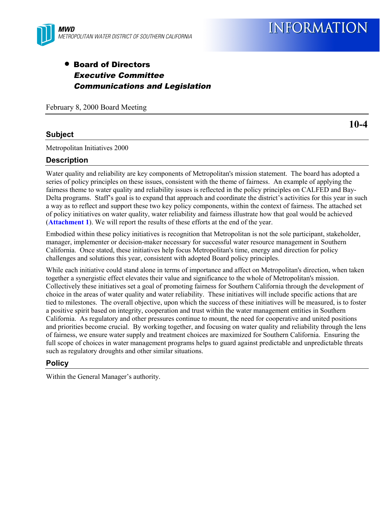

## • Board of Directors Executive Committee Communications and Legislation

February 8, 2000 Board Meeting

## **Subject**

Metropolitan Initiatives 2000

### **Description**

Water quality and reliability are key components of Metropolitan's mission statement. The board has adopted a series of policy principles on these issues, consistent with the theme of fairness. An example of applying the fairness theme to water quality and reliability issues is reflected in the policy principles on CALFED and Bay-Delta programs. Staff's goal is to expand that approach and coordinate the district's activities for this year in such a way as to reflect and support these two key policy components, within the context of fairness. The attached set of policy initiatives on water quality, water reliability and fairness illustrate how that goal would be achieved (**Attachment 1**). We will report the results of these efforts at the end of the year.

Embodied within these policy initiatives is recognition that Metropolitan is not the sole participant, stakeholder, manager, implementer or decision-maker necessary for successful water resource management in Southern California. Once stated, these initiatives help focus Metropolitan's time, energy and direction for policy challenges and solutions this year, consistent with adopted Board policy principles.

While each initiative could stand alone in terms of importance and affect on Metropolitan's direction, when taken together a synergistic effect elevates their value and significance to the whole of Metropolitan's mission. Collectively these initiatives set a goal of promoting fairness for Southern California through the development of choice in the areas of water quality and water reliability. These initiatives will include specific actions that are tied to milestones. The overall objective, upon which the success of these initiatives will be measured, is to foster a positive spirit based on integrity, cooperation and trust within the water management entities in Southern California. As regulatory and other pressures continue to mount, the need for cooperative and united positions and priorities become crucial. By working together, and focusing on water quality and reliability through the lens of fairness, we ensure water supply and treatment choices are maximized for Southern California. Ensuring the full scope of choices in water management programs helps to guard against predictable and unpredictable threats such as regulatory droughts and other similar situations.

### **Policy**

Within the General Manager's authority.

**10-4**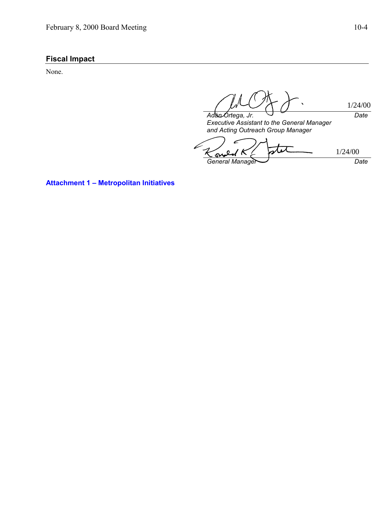## **Fiscal Impact**

None.

*Adán Ortega, Jr. Date* 1/24/00

*Executive Assistant to the General Manager and Acting Outreach Group Manager*

c 1/24/00Ş *General Manager Date*

**Attachment 1 – Metropolitan Initiatives**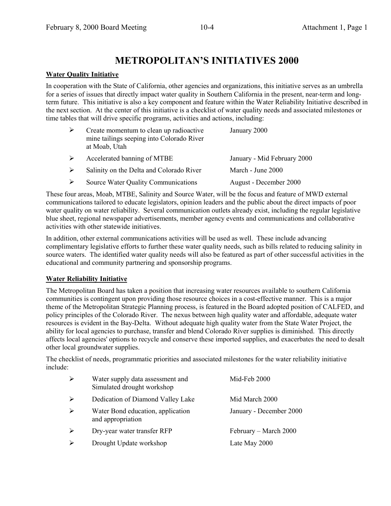# **METROPOLITAN'S INITIATIVES 2000**

## **Water Quality Initiative**

In cooperation with the State of California, other agencies and organizations, this initiative serves as an umbrella for a series of issues that directly impact water quality in Southern California in the present, near-term and longterm future. This initiative is also a key component and feature within the Water Reliability Initiative described in the next section. At the center of this initiative is a checklist of water quality needs and associated milestones or time tables that will drive specific programs, activities and actions, including:

| ➤ | Create momentum to clean up radioactive<br>mine tailings seeping into Colorado River<br>at Moab, Utah | January 2000                |
|---|-------------------------------------------------------------------------------------------------------|-----------------------------|
| ➤ | Accelerated banning of MTBE                                                                           | January - Mid February 2000 |
| ➤ | Salinity on the Delta and Colorado River                                                              | March - June 2000           |
| ➤ | Source Water Quality Communications                                                                   | August - December 2000      |

These four areas, Moab, MTBE, Salinity and Source Water, will be the focus and feature of MWD external communications tailored to educate legislators, opinion leaders and the public about the direct impacts of poor water quality on water reliability. Several communication outlets already exist, including the regular legislative blue sheet, regional newspaper advertisements, member agency events and communications and collaborative activities with other statewide initiatives.

In addition, other external communications activities will be used as well. These include advancing complimentary legislative efforts to further these water quality needs, such as bills related to reducing salinity in source waters. The identified water quality needs will also be featured as part of other successful activities in the educational and community partnering and sponsorship programs.

## **Water Reliability Initiative**

The Metropolitan Board has taken a position that increasing water resources available to southern California communities is contingent upon providing those resource choices in a cost-effective manner. This is a major theme of the Metropolitan Strategic Planning process, is featured in the Board adopted position of CALFED, and policy principles of the Colorado River. The nexus between high quality water and affordable, adequate water resources is evident in the Bay-Delta. Without adequate high quality water from the State Water Project, the ability for local agencies to purchase, transfer and blend Colorado River supplies is diminished. This directly affects local agencies' options to recycle and conserve these imported supplies, and exacerbates the need to desalt other local groundwater supplies.

The checklist of needs, programmatic priorities and associated milestones for the water reliability initiative include:

| $\blacktriangleright$ | Water supply data assessment and<br>Simulated drought workshop | Mid-Feb 2000            |
|-----------------------|----------------------------------------------------------------|-------------------------|
| ➤                     | Dedication of Diamond Valley Lake                              | Mid March 2000          |
| $\blacktriangleright$ | Water Bond education, application<br>and appropriation         | January - December 2000 |
| $\blacktriangleright$ | Dry-year water transfer RFP                                    | February – March 2000   |
| $\blacktriangleright$ | Drought Update workshop                                        | Late May 2000           |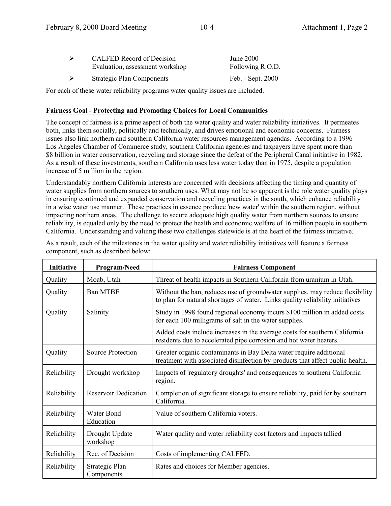| ➤ | <b>CALFED Record of Decision</b><br>Evaluation, assessment workshop | <b>June 2000</b><br>Following R.O.D. |  |
|---|---------------------------------------------------------------------|--------------------------------------|--|
| ⋗ | <b>Strategic Plan Components</b>                                    | Feb. - Sept. 2000                    |  |
|   |                                                                     |                                      |  |

For each of these water reliability programs water quality issues are included.

## **Fairness Goal - Protecting and Promoting Choices for Local Communities**

The concept of fairness is a prime aspect of both the water quality and water reliability initiatives. It permeates both, links them socially, politically and technically, and drives emotional and economic concerns. Fairness issues also link northern and southern California water resources management agendas. According to a 1996 Los Angeles Chamber of Commerce study, southern California agencies and taxpayers have spent more than \$8 billion in water conservation, recycling and storage since the defeat of the Peripheral Canal initiative in 1982. As a result of these investments, southern California uses less water today than in 1975, despite a population increase of 5 million in the region.

Understandably northern California interests are concerned with decisions affecting the timing and quantity of water supplies from northern sources to southern uses. What may not be so apparent is the role water quality plays in ensuring continued and expanded conservation and recycling practices in the south, which enhance reliability in a wise water use manner. These practices in essence produce 'new water' within the southern region, without impacting northern areas. The challenge to secure adequate high quality water from northern sources to ensure reliability, is equaled only by the need to protect the health and economic welfare of 16 million people in southern California. Understanding and valuing these two challenges statewide is at the heart of the fairness initiative.

| <b>Initiative</b> | Program/Need                 | <b>Fairness Component</b>                                                                                                                                     |
|-------------------|------------------------------|---------------------------------------------------------------------------------------------------------------------------------------------------------------|
| Quality           | Moab, Utah                   | Threat of health impacts in Southern California from uranium in Utah.                                                                                         |
| Quality           | <b>Ban MTBE</b>              | Without the ban, reduces use of groundwater supplies, may reduce flexibility<br>to plan for natural shortages of water. Links quality reliability initiatives |
| Quality           | Salinity                     | Study in 1998 found regional economy incurs \$100 million in added costs<br>for each 100 milligrams of salt in the water supplies.                            |
|                   |                              | Added costs include increases in the average costs for southern California<br>residents due to accelerated pipe corrosion and hot water heaters.              |
| Quality           | Source Protection            | Greater organic contaminants in Bay Delta water require additional<br>treatment with associated disinfection by-products that affect public health.           |
| Reliability       | Drought workshop             | Impacts of 'regulatory droughts' and consequences to southern California<br>region.                                                                           |
| Reliability       | <b>Reservoir Dedication</b>  | Completion of significant storage to ensure reliability, paid for by southern<br>California.                                                                  |
| Reliability       | Water Bond<br>Education      | Value of southern California voters.                                                                                                                          |
| Reliability       | Drought Update<br>workshop   | Water quality and water reliability cost factors and impacts tallied                                                                                          |
| Reliability       | Rec. of Decision             | Costs of implementing CALFED.                                                                                                                                 |
| Reliability       | Strategic Plan<br>Components | Rates and choices for Member agencies.                                                                                                                        |

As a result, each of the milestones in the water quality and water reliability initiatives will feature a fairness component, such as described below: